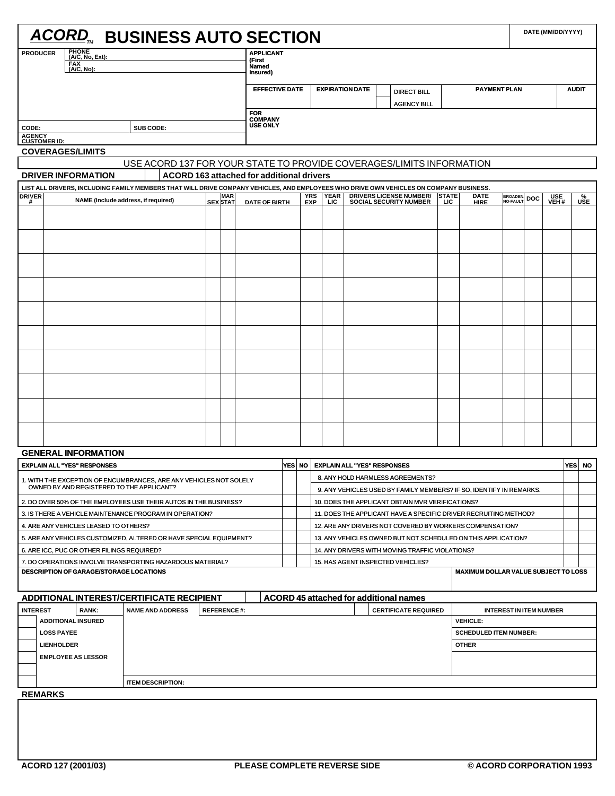|                                                                    |            |                                            |  | <b>ACORD, BUSINESS AUTO SECTION</b>                                                                                                    |  |                    |                                           |                                                                       |                                                                     |                                                  |                                    |  |                                                                  |              |                                             |                                     |             | DATE (MM/DD/YYYY) |                         |  |  |
|--------------------------------------------------------------------|------------|--------------------------------------------|--|----------------------------------------------------------------------------------------------------------------------------------------|--|--------------------|-------------------------------------------|-----------------------------------------------------------------------|---------------------------------------------------------------------|--------------------------------------------------|------------------------------------|--|------------------------------------------------------------------|--------------|---------------------------------------------|-------------------------------------|-------------|-------------------|-------------------------|--|--|
| <b>PRODUCER</b>                                                    | <b>FAX</b> | <b>PHONE</b><br>(A/C, No, Ext):            |  |                                                                                                                                        |  |                    | <b>APPLICANT</b><br>(First                |                                                                       |                                                                     |                                                  |                                    |  |                                                                  |              |                                             |                                     |             |                   |                         |  |  |
|                                                                    |            | (A/C, No):                                 |  |                                                                                                                                        |  |                    | <b>Named</b><br>Insured)                  |                                                                       |                                                                     |                                                  |                                    |  |                                                                  |              |                                             |                                     |             |                   |                         |  |  |
|                                                                    |            |                                            |  |                                                                                                                                        |  |                    |                                           | <b>EFFECTIVE DATE</b><br><b>EXPIRATION DATE</b><br><b>DIRECT BILL</b> |                                                                     |                                                  |                                    |  |                                                                  |              |                                             | <b>PAYMENT PLAN</b><br><b>AUDIT</b> |             |                   |                         |  |  |
|                                                                    |            |                                            |  |                                                                                                                                        |  |                    | <b>AGENCY BILL</b>                        |                                                                       |                                                                     |                                                  |                                    |  |                                                                  |              |                                             |                                     |             |                   |                         |  |  |
|                                                                    |            |                                            |  |                                                                                                                                        |  |                    | <b>FOR</b><br><b>COMPANY</b>              |                                                                       |                                                                     |                                                  |                                    |  |                                                                  |              |                                             |                                     |             |                   |                         |  |  |
| CODE:                                                              |            |                                            |  | SUB CODE:                                                                                                                              |  |                    | <b>USE ONLY</b>                           |                                                                       |                                                                     |                                                  |                                    |  |                                                                  |              |                                             |                                     |             |                   |                         |  |  |
| <b>AGENCY</b><br><b>CUSTOMER ID:</b>                               |            |                                            |  |                                                                                                                                        |  |                    |                                           |                                                                       |                                                                     |                                                  |                                    |  |                                                                  |              |                                             |                                     |             |                   |                         |  |  |
| <b>COVERAGES/LIMITS</b>                                            |            |                                            |  |                                                                                                                                        |  |                    |                                           |                                                                       |                                                                     |                                                  |                                    |  |                                                                  |              |                                             |                                     |             |                   |                         |  |  |
|                                                                    |            |                                            |  | USE ACORD 137 FOR YOUR STATE TO PROVIDE COVERAGES/LIMITS INFORMATION                                                                   |  |                    |                                           |                                                                       |                                                                     |                                                  |                                    |  |                                                                  |              |                                             |                                     |             |                   |                         |  |  |
|                                                                    |            | <b>DRIVER INFORMATION</b>                  |  |                                                                                                                                        |  |                    | ACORD 163 attached for additional drivers |                                                                       |                                                                     |                                                  |                                    |  |                                                                  |              |                                             |                                     |             |                   |                         |  |  |
|                                                                    |            |                                            |  | LIST ALL DRIVERS, INCLUDING FAMILY MEMBERS THAT WILL DRIVE COMPANY VEHICLES, AND EMPLOYEES WHO DRIVE OWN VEHICLES ON COMPANY BUSINESS. |  | <b>MAR</b>         |                                           |                                                                       | YRS                                                                 | YEAR                                             |                                    |  | <b>DRIVERS LICENSE NUMBER/</b>                                   | <b>STATE</b> | <b>DATE</b>                                 |                                     |             | USE<br>VEH #      |                         |  |  |
| DRIVER                                                             |            | NAME (Include address, if required)        |  |                                                                                                                                        |  | <b>SEX STAT</b>    | <b>DATE OF BIRTH</b>                      |                                                                       | <b>EXP</b>                                                          | <b>LIC</b>                                       |                                    |  | <b>SOCIAL SECURITY NUMBER</b>                                    | <b>LIC</b>   | HIRE                                        | <b>NO-FAULT</b>                     | BROADEN DOC |                   | $\sqrt[9]{\text{SE}}$   |  |  |
|                                                                    |            |                                            |  |                                                                                                                                        |  |                    |                                           |                                                                       |                                                                     |                                                  |                                    |  |                                                                  |              |                                             |                                     |             |                   |                         |  |  |
|                                                                    |            |                                            |  |                                                                                                                                        |  |                    |                                           |                                                                       |                                                                     |                                                  |                                    |  |                                                                  |              |                                             |                                     |             |                   |                         |  |  |
|                                                                    |            |                                            |  |                                                                                                                                        |  |                    |                                           |                                                                       |                                                                     |                                                  |                                    |  |                                                                  |              |                                             |                                     |             |                   |                         |  |  |
|                                                                    |            |                                            |  |                                                                                                                                        |  |                    |                                           |                                                                       |                                                                     |                                                  |                                    |  |                                                                  |              |                                             |                                     |             |                   |                         |  |  |
|                                                                    |            |                                            |  |                                                                                                                                        |  |                    |                                           |                                                                       |                                                                     |                                                  |                                    |  |                                                                  |              |                                             |                                     |             |                   |                         |  |  |
|                                                                    |            |                                            |  |                                                                                                                                        |  |                    |                                           |                                                                       |                                                                     |                                                  |                                    |  |                                                                  |              |                                             |                                     |             |                   |                         |  |  |
|                                                                    |            |                                            |  |                                                                                                                                        |  |                    |                                           |                                                                       |                                                                     |                                                  |                                    |  |                                                                  |              |                                             |                                     |             |                   |                         |  |  |
|                                                                    |            |                                            |  |                                                                                                                                        |  |                    |                                           |                                                                       |                                                                     |                                                  |                                    |  |                                                                  |              |                                             |                                     |             |                   |                         |  |  |
|                                                                    |            |                                            |  |                                                                                                                                        |  |                    |                                           |                                                                       |                                                                     |                                                  |                                    |  |                                                                  |              |                                             |                                     |             |                   |                         |  |  |
|                                                                    |            |                                            |  |                                                                                                                                        |  |                    |                                           |                                                                       |                                                                     |                                                  |                                    |  |                                                                  |              |                                             |                                     |             |                   |                         |  |  |
|                                                                    |            |                                            |  |                                                                                                                                        |  |                    |                                           |                                                                       |                                                                     |                                                  |                                    |  |                                                                  |              |                                             |                                     |             |                   |                         |  |  |
|                                                                    |            |                                            |  |                                                                                                                                        |  |                    |                                           |                                                                       |                                                                     |                                                  |                                    |  |                                                                  |              |                                             |                                     |             |                   |                         |  |  |
|                                                                    |            |                                            |  |                                                                                                                                        |  |                    |                                           |                                                                       |                                                                     |                                                  |                                    |  |                                                                  |              |                                             |                                     |             |                   |                         |  |  |
|                                                                    |            |                                            |  |                                                                                                                                        |  |                    |                                           |                                                                       |                                                                     |                                                  |                                    |  |                                                                  |              |                                             |                                     |             |                   |                         |  |  |
|                                                                    |            |                                            |  |                                                                                                                                        |  |                    |                                           |                                                                       |                                                                     |                                                  |                                    |  |                                                                  |              |                                             |                                     |             |                   |                         |  |  |
|                                                                    |            |                                            |  |                                                                                                                                        |  |                    |                                           |                                                                       |                                                                     |                                                  |                                    |  |                                                                  |              |                                             |                                     |             |                   |                         |  |  |
|                                                                    |            |                                            |  |                                                                                                                                        |  |                    |                                           |                                                                       |                                                                     |                                                  |                                    |  |                                                                  |              |                                             |                                     |             |                   |                         |  |  |
|                                                                    |            |                                            |  |                                                                                                                                        |  |                    |                                           |                                                                       |                                                                     |                                                  |                                    |  |                                                                  |              |                                             |                                     |             |                   |                         |  |  |
|                                                                    |            |                                            |  |                                                                                                                                        |  |                    |                                           |                                                                       |                                                                     |                                                  |                                    |  |                                                                  |              |                                             |                                     |             |                   |                         |  |  |
|                                                                    |            | <b>GENERAL INFORMATION</b>                 |  |                                                                                                                                        |  |                    |                                           |                                                                       |                                                                     |                                                  |                                    |  |                                                                  |              |                                             |                                     |             |                   |                         |  |  |
|                                                                    |            | <b>EXPLAIN ALL "YES" RESPONSES</b>         |  |                                                                                                                                        |  |                    |                                           |                                                                       | YES NO I                                                            |                                                  | <b>EXPLAIN ALL "YES" RESPONSES</b> |  |                                                                  |              |                                             |                                     |             |                   | <b>YES</b><br><b>NO</b> |  |  |
|                                                                    |            |                                            |  | 1. WITH THE EXCEPTION OF ENCUMBRANCES, ARE ANY VEHICLES NOT SOLELY                                                                     |  |                    |                                           |                                                                       |                                                                     | 8. ANY HOLD HARMLESS AGREEMENTS?                 |                                    |  |                                                                  |              |                                             |                                     |             |                   |                         |  |  |
|                                                                    |            | OWNED BY AND REGISTERED TO THE APPLICANT?  |  |                                                                                                                                        |  |                    |                                           |                                                                       | 9. ANY VEHICLES USED BY FAMILY MEMBERS? IF SO, IDENTIFY IN REMARKS. |                                                  |                                    |  |                                                                  |              |                                             |                                     |             |                   |                         |  |  |
|                                                                    |            |                                            |  | 2. DO OVER 50% OF THE EMPLOYEES USE THEIR AUTOS IN THE BUSINESS?                                                                       |  |                    |                                           |                                                                       |                                                                     | 10. DOES THE APPLICANT OBTAIN MVR VERIFICATIONS? |                                    |  |                                                                  |              |                                             |                                     |             |                   |                         |  |  |
|                                                                    |            |                                            |  | 3. IS THERE A VEHICLE MAINTENANCE PROGRAM IN OPERATION?                                                                                |  |                    |                                           |                                                                       |                                                                     |                                                  |                                    |  | 11. DOES THE APPLICANT HAVE A SPECIFIC DRIVER RECRUITING METHOD? |              |                                             |                                     |             |                   |                         |  |  |
|                                                                    |            | 4. ARE ANY VEHICLES LEASED TO OTHERS?      |  |                                                                                                                                        |  |                    |                                           |                                                                       |                                                                     |                                                  |                                    |  | 12. ARE ANY DRIVERS NOT COVERED BY WORKERS COMPENSATION?         |              |                                             |                                     |             |                   |                         |  |  |
| 5. ARE ANY VEHICLES CUSTOMIZED, ALTERED OR HAVE SPECIAL EQUIPMENT? |            |                                            |  |                                                                                                                                        |  |                    |                                           |                                                                       |                                                                     |                                                  |                                    |  | 13. ANY VEHICLES OWNED BUT NOT SCHEDULED ON THIS APPLICATION?    |              |                                             |                                     |             |                   |                         |  |  |
|                                                                    |            | 6. ARE ICC, PUC OR OTHER FILINGS REQUIRED? |  |                                                                                                                                        |  |                    |                                           |                                                                       |                                                                     |                                                  |                                    |  | 14. ANY DRIVERS WITH MOVING TRAFFIC VIOLATIONS?                  |              |                                             |                                     |             |                   |                         |  |  |
|                                                                    |            |                                            |  | 7. DO OPERATIONS INVOLVE TRANSPORTING HAZARDOUS MATERIAL?                                                                              |  |                    |                                           |                                                                       |                                                                     |                                                  |                                    |  | 15. HAS AGENT INSPECTED VEHICLES?                                |              |                                             |                                     |             |                   |                         |  |  |
|                                                                    |            | DESCRIPTION OF GARAGE/STORAGE LOCATIONS    |  |                                                                                                                                        |  |                    |                                           |                                                                       |                                                                     |                                                  |                                    |  |                                                                  |              | <b>MAXIMUM DOLLAR VALUE SUBJECT TO LOSS</b> |                                     |             |                   |                         |  |  |
|                                                                    |            |                                            |  |                                                                                                                                        |  |                    |                                           |                                                                       |                                                                     |                                                  |                                    |  |                                                                  |              |                                             |                                     |             |                   |                         |  |  |
|                                                                    |            |                                            |  | ADDITIONAL INTEREST/CERTIFICATE RECIPIENT                                                                                              |  |                    |                                           |                                                                       |                                                                     |                                                  |                                    |  | ACORD 45 attached for additional names                           |              |                                             |                                     |             |                   |                         |  |  |
| <b>INTEREST</b>                                                    |            | <b>RANK:</b>                               |  | <b>NAME AND ADDRESS</b>                                                                                                                |  | <b>REFERENCE#:</b> |                                           |                                                                       |                                                                     |                                                  |                                    |  | <b>CERTIFICATE REQUIRED</b>                                      |              |                                             | <b>INTEREST IN ITEM NUMBER</b>      |             |                   |                         |  |  |
|                                                                    |            | <b>ADDITIONAL INSURED</b>                  |  |                                                                                                                                        |  |                    |                                           |                                                                       |                                                                     |                                                  |                                    |  |                                                                  |              | <b>VEHICLE:</b>                             |                                     |             |                   |                         |  |  |

| INIERESI |                           | <b>KANK:</b> | NAME AND ADDRESS         | <b>KEFEKENCE#:</b> | <b>CERTIFICATE REQUIRED</b> | INIERESI INIIEM NUMBER        |
|----------|---------------------------|--------------|--------------------------|--------------------|-----------------------------|-------------------------------|
|          | <b>ADDITIONAL INSURED</b> |              |                          |                    |                             | <b>VEHICLE:</b>               |
|          | <b>LOSS PAYEE</b>         |              |                          |                    |                             | <b>SCHEDULED ITEM NUMBER:</b> |
|          | <b>LIENHOLDER</b>         |              |                          |                    |                             | <b>OTHER</b>                  |
|          | <b>EMPLOYEE AS LESSOR</b> |              |                          |                    |                             |                               |
|          |                           |              |                          |                    |                             |                               |
|          |                           |              | <b>ITEM DESCRIPTION:</b> |                    |                             |                               |
|          |                           |              |                          |                    |                             |                               |

**REMARKS**